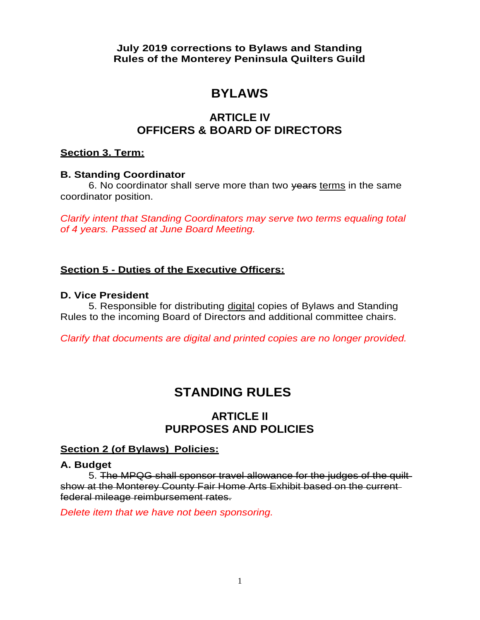**July 2019 corrections to Bylaws and Standing Rules of the Monterey Peninsula Quilters Guild**

# **BYLAWS**

# **ARTICLE IV OFFICERS & BOARD OF DIRECTORS**

#### **Section 3. Term:**

#### **B. Standing Coordinator**

6. No coordinator shall serve more than two years terms in the same coordinator position.

*Clarify intent that Standing Coordinators may serve two terms equaling total of 4 years. Passed at June Board Meeting.*

### **Section 5 - Duties of the Executive Officers:**

#### **D. Vice President**

5. Responsible for distributing digital copies of Bylaws and Standing Rules to the incoming Board of Directors and additional committee chairs.

*Clarify that documents are digital and printed copies are no longer provided.*

# **STANDING RULES**

# **ARTICLE II PURPOSES AND POLICIES**

#### **Section 2 (of Bylaws) Policies:**

#### **A. Budget**

5. The MPQG shall sponsor travel allowance for the judges of the quilt show at the Monterey County Fair Home Arts Exhibit based on the current federal mileage reimbursement rates.

*Delete item that we have not been sponsoring.*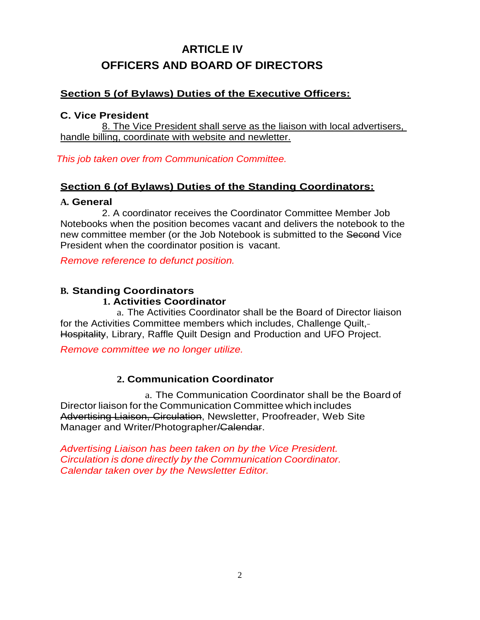# **ARTICLE IV OFFICERS AND BOARD OF DIRECTORS**

# **Section 5 (of Bylaws) Duties of the Executive Officers:**

#### **C. Vice President**

8. The Vice President shall serve as the liaison with local advertisers, handle billing, coordinate with website and newletter.

*This job taken over from Communication Committee.*

### **Section 6 (of Bylaws) Duties of the Standing Coordinators:**

#### **A. General**

2. A coordinator receives the Coordinator Committee Member Job Notebooks when the position becomes vacant and delivers the notebook to the new committee member (or the Job Notebook is submitted to the Second Vice President when the coordinator position is vacant.

*Remove reference to defunct position.*

#### **B. Standing Coordinators 1. Activities Coordinator**

a. The Activities Coordinator shall be the Board of Director liaison for the Activities Committee members which includes, Challenge Quilt, Hospitality, Library, Raffle Quilt Design and Production and UFO Project.

*Remove committee we no longer utilize.*

# **2. Communication Coordinator**

a. The Communication Coordinator shall be the Board of Director liaison for the Communication Committee which includes Advertising Liaison, Circulation, Newsletter, Proofreader, Web Site Manager and Writer/Photographer<del>/Calendar</del>.

*Advertising Liaison has been taken on by the Vice President. Circulation is done directly by the Communication Coordinator. Calendar taken over by the Newsletter Editor.*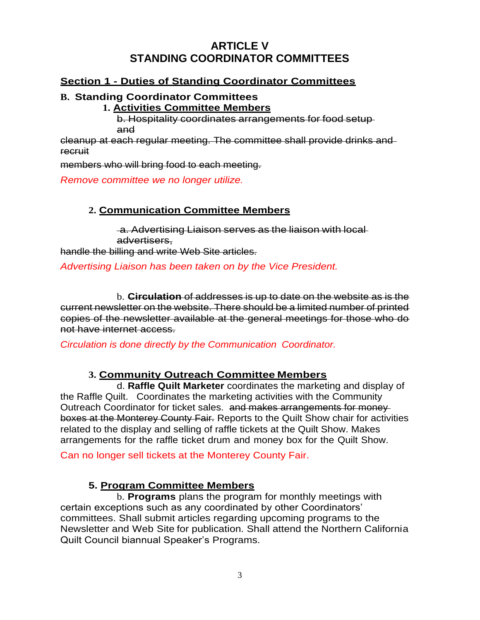# **ARTICLE V STANDING COORDINATOR COMMITTEES**

# **Section 1 - Duties of Standing Coordinator Committees**

#### **B. Standing Coordinator Committees**

#### **1. Activities Committee Members**

b. Hospitality coordinates arrangements for food setup and

cleanup at each regular meeting. The committee shall provide drinks and recruit

members who will bring food to each meeting.

*Remove committee we no longer utilize.*

# **2. Communication Committee Members**

a. Advertising Liaison serves as the liaison with local advertisers,

handle the billing and write Web Site articles.

# *Advertising Liaison has been taken on by the Vice President.*

b. **Circulation** of addresses is up to date on the website as is the current newsletter on the website. There should be a limited number of printed copies of the newsletter available at the general meetings for those who do not have internet access.

*Circulation is done directly by the Communication Coordinator.*

# **3. Community Outreach Committee Members**

d. **Raffle Quilt Marketer** coordinates the marketing and display of the Raffle Quilt. Coordinates the marketing activities with the Community Outreach Coordinator for ticket sales. and makes arrangements for money boxes at the Monterey County Fair. Reports to the Quilt Show chair for activities related to the display and selling of raffle tickets at the Quilt Show. Makes arrangements for the raffle ticket drum and money box for the Quilt Show.

Can no longer sell tickets at the Monterey County Fair.

# **5. Program Committee Members**

b. **Programs** plans the program for monthly meetings with certain exceptions such as any coordinated by other Coordinators' committees. Shall submit articles regarding upcoming programs to the Newsletter and Web Site for publication. Shall attend the Northern California Quilt Council biannual Speaker's Programs.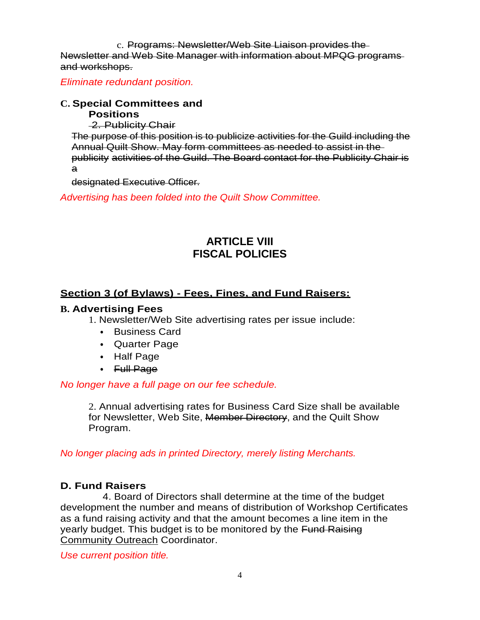c. Programs: Newsletter/Web Site Liaison provides the Newsletter and Web Site Manager with information about MPQG programs and workshops.

*Eliminate redundant position.*

# **C. Special Committees and**

**Positions**

2. Publicity Chair

The purpose of this position is to publicize activities for the Guild including the Annual Quilt Show. May form committees as needed to assist in the publicity activities of the Guild. The Board contact for the Publicity Chair is a

designated Executive Officer.

*Advertising has been folded into the Quilt Show Committee.*

# **ARTICLE VIII FISCAL POLICIES**

# **Section 3 (of Bylaws) - Fees, Fines, and Fund Raisers:**

### **B. Advertising Fees**

1. Newsletter/Web Site advertising rates per issue include:

- ⦁ Business Card
- ⦁ Quarter Page
- ⦁ Half Page
- ⦁ Full Page

# *No longer have a full page on our fee schedule.*

2. Annual advertising rates for Business Card Size shall be available for Newsletter, Web Site, Member Directory, and the Quilt Show Program.

*No longer placing ads in printed Directory, merely listing Merchants.*

# **D. Fund Raisers**

4. Board of Directors shall determine at the time of the budget development the number and means of distribution of Workshop Certificates as a fund raising activity and that the amount becomes a line item in the yearly budget. This budget is to be monitored by the Fund Raising Community Outreach Coordinator.

*Use current position title.*